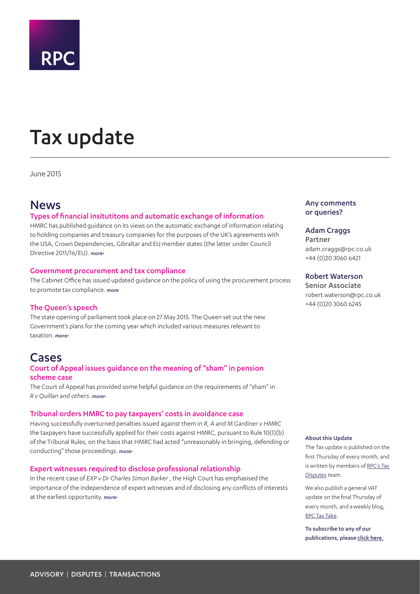<span id="page-0-0"></span>

# Tax update

June 2015

# News

# Types of financial insitutitons and automatic exchange of information

HMRC has published guidance on its views on the automatic exchange of information relating to holding companies and treasury companies for the purposes of the UK's agreements with the USA, Crown Dependencies, Gibraltar and EU member states (the latter under Council Directive 2011/16/EU). [more>](#page-1-0)

# Government procurement and tax compliance

The Cabinet Office has issued updated guidance on the policy of using the procurement process to promote tax compliance. more

# The Queen's speech

The state opening of parliament took place on 27 May 2015. The Queen set out the new Government's plans for the coming year which included various measures relevant to taxation. [more>](#page-2-0)

# Cases

# Court of Appeal issues guidance on the meaning of "sham" in pension scheme case

The Court of Appeal has provided some helpful guidance on the requirements of "sham" in *R v Quillan and others*. [more>](#page-3-0)

## Tribunal orders HMRC to pay taxpayers' costs in avoidance case

Having successfully overturned penalties issued against them in *R, A and M Gardiner v HMRC* the taxpayers have successfully applied for their costs against HMRC, pursuant to Rule 10(1)(b) of the Tribunal Rules, on the basis that HMRC had acted "unreasonably in bringing, defending or conducting" those proceedings. [more>](#page-5-0)

## Expert witnesses required to disclose professional relationship

In the recent case of *EXP v Dr Charles Simon Barker* , the High Court has emphasised the importance of the independence of expert witnesses and of disclosing any conflicts of interests at the earliest opportunity. [more>](#page-6-0)

# Any comments or queries?

## Adam Craggs

Partner adam.craggs@rpc.co.uk +44 (0)20 3060 6421

# Robert Waterson

Senior Associate robert.waterson@rpc.co.uk +44 (0)20 3060 6245

#### About this Update

The Tax update is published on the first Thursday of every month, and is written by members of [RPC's Tax](http://www.rpc.co.uk/index.php%3Foption%3Dcom_flexicontent%26view%3Dcategory%26cid%3D254%26Itemid%3D49)  [Disputes](http://www.rpc.co.uk/index.php%3Foption%3Dcom_flexicontent%26view%3Dcategory%26cid%3D254%26Itemid%3D49) team.

We also publish a general VAT update on the final Thursday of every month, and a weekly blog, [RPC Tax Take](http://www.rpc.co.uk/index.php%3Foption%3Dcom_easyblog%26view%3Dlatest%26Itemid%3D129).

To subscribe to any of our publications, please [click here](http://connect.rpcgateway.co.uk/reaction/RSGenPage.asp?RSID=kiRyiOhFipUX4A3llykaCBXjrOCnOCu5yf3DQDJN8ME).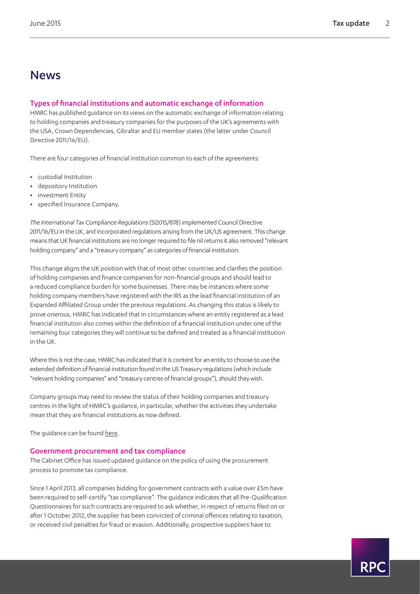RP(

# News

# <span id="page-1-0"></span>Types of financial institutions and automatic exchange of information

HMRC has published guidance on its views on the automatic exchange of information relating to holding companies and treasury companies for the purposes of the UK's agreements with the USA, Crown Dependencies, Gibraltar and EU member states (the latter under Council Directive 2011/16/EU).

There are four categories of financial institution common to each of the agreements:

- **•** custodial Institution
- **•** depository Institution
- **•** investment Entity
- **•** specified Insurance Company.

*The International Tax Compliance Regulations* (SI2015/878) implemented Council Directive 2011/16/EU in the UK, and incorporated regulations arising from the UK/US agreement. This change means that UK financial institutions are no longer required to file nil returns it also removed "relevant holding company" and a "treasury company" as categories of financial institution.

This change aligns the UK position with that of most other countries and clarifies the position of holding companies and finance companies for non-financial groups and should lead to a reduced compliance burden for some businesses. There may be instances where some holding company members have registered with the IRS as the lead financial institution of an Expanded Affiliated Group under the previous regulations. As changing this status is likely to prove onerous, HMRC has indicated that in circumstances where an entity registered as a lead financial institution also comes within the definition of a financial institution under one of the remaining four categories they will continue to be defined and treated as a financial institution in the UK.

Where this is not the case, HMRC has indicated that it is content for an entity to choose to use the extended definition of financial institution found in the US Treasury regulations (which include "relevant holding companies" and "treasury centres of financial groups"), should they wish.

Company groups may need to review the status of their holding companies and treasury centres in the light of HMRC's guidance, in particular, whether the activities they undertake mean that they are financial institutions as now defined.

The quidance can be found [here.](https://www.gov.uk/government/publications/automatic-exchange-of-information-holding-companies-and-treasury-companies/automatic-exchange-of-information-holding-companies-and-treasury-companies)

# Government procurement and tax compliance

The Cabinet Office has issued updated guidance on the policy of using the procurement process to promote tax compliance.

Since 1 April 2013, all companies bidding for government contracts with a value over £5m have been required to self-certify "tax compliance". The guidance indicates that all Pre-Qualification Questionnaires for such contracts are required to ask whether, in respect of returns filed on or after 1 October 2012, the supplier has been convicted of criminal offences relating to taxation, or received civil penalties for fraud or evasion. Additionally, prospective suppliers have to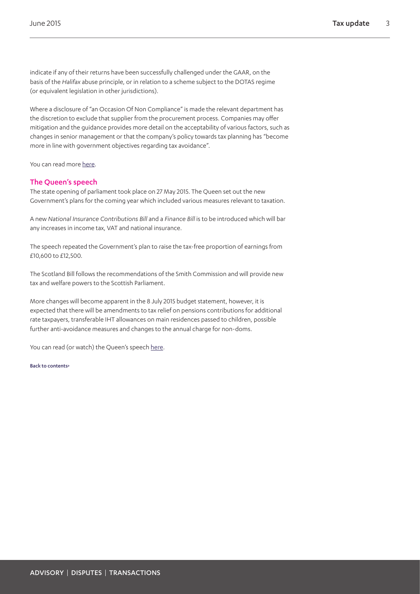indicate if any of their returns have been successfully challenged under the GAAR, on the basis of the *Halifax* abuse principle, or in relation to a scheme subject to the DOTAS regime (or equivalent legislation in other jurisdictions).

Where a disclosure of "an Occasion Of Non Compliance" is made the relevant department has the discretion to exclude that supplier from the procurement process. Companies may offer mitigation and the guidance provides more detail on the acceptability of various factors, such as changes in senior management or that the company's policy towards tax planning has "become more in line with government objectives regarding tax avoidance".

You can read more [here](https://www.gov.uk/government/uploads/system/uploads/attachment_data/file/278135/PPN_0314_Measures_to_Promote_Tax_Compliance_Feb.pdf).

# <span id="page-2-0"></span>The Queen's speech

The state opening of parliament took place on 27 May 2015. The Queen set out the new Government's plans for the coming year which included various measures relevant to taxation.

A new *National Insurance Contributions Bill* and a *Finance Bill* is to be introduced which will bar any increases in income tax, VAT and national insurance.

The speech repeated the Government's plan to raise the tax-free proportion of earnings from £10,600 to £12,500.

The Scotland Bill follows the recommendations of the Smith Commission and will provide new tax and welfare powers to the Scottish Parliament.

More changes will become apparent in the 8 July 2015 budget statement, however, it is expected that there will be amendments to tax relief on pensions contributions for additional rate taxpayers, transferable IHT allowances on main residences passed to children, possible further anti-avoidance measures and changes to the annual charge for non-doms.

You can read (or watch) the Queen's speech [here](https://www.gov.uk/government/speeches/queens-speech-2015).

[Back to contents>](#page-0-0)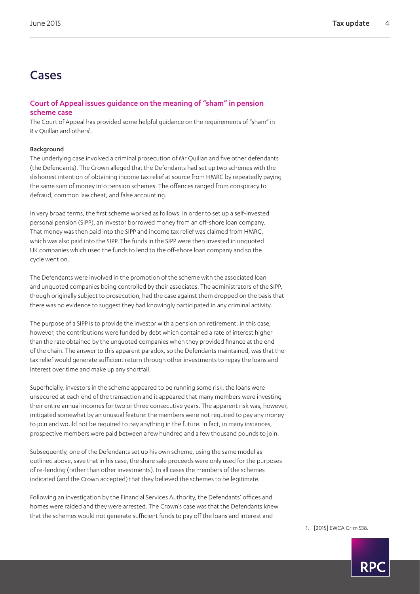# Cases

# <span id="page-3-0"></span>Court of Appeal issues guidance on the meaning of "sham" in pension scheme case

The Court of Appeal has provided some helpful guidance on the requirements of "sham" in R v Quillan and others<sup>1</sup>.

# Background

The underlying case involved a criminal prosecution of Mr Quillan and five other defendants (the Defendants). The Crown alleged that the Defendants had set up two schemes with the dishonest intention of obtaining income tax relief at source from HMRC by repeatedly paying the same sum of money into pension schemes. The offences ranged from conspiracy to defraud, common law cheat, and false accounting.

In very broad terms, the first scheme worked as follows. In order to set up a self-invested personal pension (SIPP), an investor borrowed money from an off-shore loan company. That money was then paid into the SIPP and income tax relief was claimed from HMRC, which was also paid into the SIPP. The funds in the SIPP were then invested in unquoted UK companies which used the funds to lend to the off-shore loan company and so the cycle went on.

The Defendants were involved in the promotion of the scheme with the associated loan and unquoted companies being controlled by their associates. The administrators of the SIPP, though originally subject to prosecution, had the case against them dropped on the basis that there was no evidence to suggest they had knowingly participated in any criminal activity.

The purpose of a SIPP is to provide the investor with a pension on retirement. In this case, however, the contributions were funded by debt which contained a rate of interest higher than the rate obtained by the unquoted companies when they provided finance at the end of the chain. The answer to this apparent paradox, so the Defendants maintained, was that the tax relief would generate sufficient return through other investments to repay the loans and interest over time and make up any shortfall.

Superficially, investors in the scheme appeared to be running some risk: the loans were unsecured at each end of the transaction and it appeared that many members were investing their entire annual incomes for two or three consecutive years. The apparent risk was, however, mitigated somewhat by an unusual feature: the members were not required to pay any money to join and would not be required to pay anything in the future. In fact, in many instances, prospective members were paid between a few hundred and a few thousand pounds to join.

Subsequently, one of the Defendants set up his own scheme, using the same model as outlined above, save that in his case, the share sale proceeds were only used for the purposes of re-lending (rather than other investments). In all cases the members of the schemes indicated (and the Crown accepted) that they believed the schemes to be legitimate.

Following an investigation by the Financial Services Authority, the Defendants' offices and homes were raided and they were arrested. The Crown's case was that the Defendants knew that the schemes would not generate sufficient funds to pay off the loans and interest and

<span id="page-3-1"></span>1. [2015] EWCA Crim 538.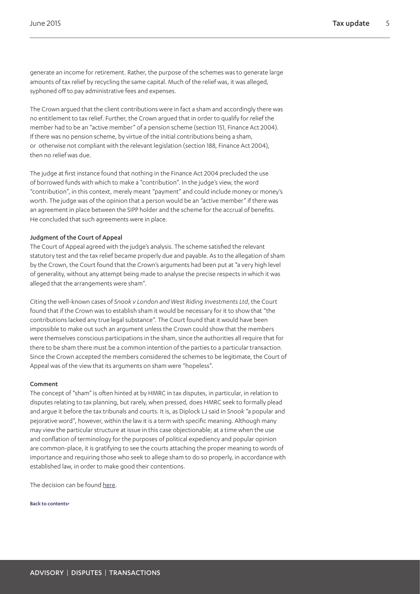generate an income for retirement. Rather, the purpose of the schemes was to generate large amounts of tax relief by recycling the same capital. Much of the relief was, it was alleged, syphoned off to pay administrative fees and expenses.

The Crown argued that the client contributions were in fact a sham and accordingly there was no entitlement to tax relief. Further, the Crown argued that in order to qualify for relief the member had to be an "active member" of a pension scheme (section 151, Finance Act 2004). If there was no pension scheme, by virtue of the initial contributions being a sham, or otherwise not compliant with the relevant legislation (section 188, Finance Act 2004), then no relief was due.

The judge at first instance found that nothing in the Finance Act 2004 precluded the use of borrowed funds with which to make a "contribution". In the judge's view, the word "contribution", in this context, merely meant "payment" and could include money or money's worth. The judge was of the opinion that a person would be an "active member" if there was an agreement in place between the SIPP holder and the scheme for the accrual of benefits. He concluded that such agreements were in place.

## Judgment of the Court of Appeal

The Court of Appeal agreed with the judge's analysis. The scheme satisfied the relevant statutory test and the tax relief became properly due and payable. As to the allegation of sham by the Crown, the Court found that the Crown's arguments had been put at "a very high level of generality, without any attempt being made to analyse the precise respects in which it was alleged that the arrangements were sham".

Citing the well-known cases of *Snook v London and West Riding Investments Ltd*, the Court found that if the Crown was to establish sham it would be necessary for it to show that "the contributions lacked any true legal substance". The Court found that it would have been impossible to make out such an argument unless the Crown could show that the members were themselves conscious participations in the sham, since the authorities all require that for there to be sham there must be a common intention of the parties to a particular transaction. Since the Crown accepted the members considered the schemes to be legitimate, the Court of Appeal was of the view that its arguments on sham were "hopeless".

## Comment

The concept of "sham" is often hinted at by HMRC in tax disputes, in particular, in relation to disputes relating to tax planning, but rarely, when pressed, does HMRC seek to formally plead and argue it before the tax tribunals and courts. It is, as Diplock LJ said in *Snook* "a popular and pejorative word", however, within the law it is a term with specific meaning. Although many may view the particular structure at issue in this case objectionable; at a time when the use and conflation of terminology for the purposes of political expediency and popular opinion are common-place, it is gratifying to see the courts attaching the proper meaning to words of importance and requiring those who seek to allege sham to do so properly, in accordance with established law, in order to make good their contentions.

The decision can be found [here](http://www.bailii.org/ew/cases/EWCA/Crim/2015/538.html).

[Back to contents>](#page-0-0)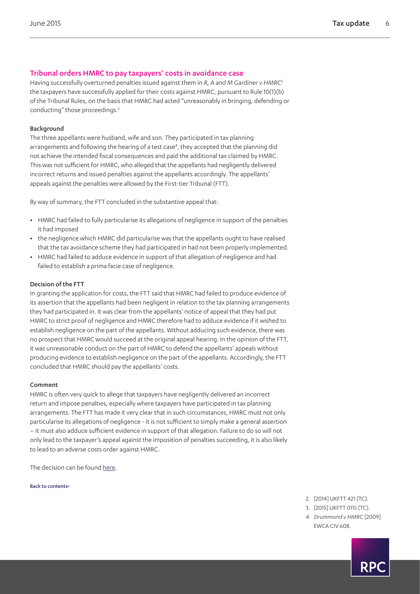# <span id="page-5-0"></span>Tribunal orders HMRC to pay taxpayers' costs in avoidance case

Having successfully overturned penalties issued against them in *R, A and M Gardiner v HMRC*[2](#page-5-1) the taxpayers have successfully applied for their costs against HMRC, pursuant to Rule 10(1)(b) of the Tribunal Rules, on the basis that HMRC had acted "unreasonably in bringing, defending or conducting" those proceedings.[3](#page-5-2)

## Background

The three appellants were husband, wife and son. They participated in tax planning arrangements and following the hearing of a test case<sup>[4](#page-5-3)</sup>, they accepted that the planning did not achieve the intended fiscal consequences and paid the additional tax claimed by HMRC. This was not sufficient for HMRC, who alleged that the appellants had negligently delivered incorrect returns and issued penalties against the appellants accordingly. The appellants' appeals against the penalties were allowed by the First-tier Tribunal (FTT).

By way of summary, the FTT concluded in the substantive appeal that:

- **•** HMRC had failed to fully particularise its allegations of negligence in support of the penalties it had imposed
- **•** the negligence which HMRC did particularise was that the appellants ought to have realised that the tax avoidance scheme they had participated in had not been properly implemented.
- **•** HMRC had failed to adduce evidence in support of that allegation of negligence and had failed to establish a prima facie case of negligence.

#### Decision of the FTT

In granting the application for costs, the FTT said that HMRC had failed to produce evidence of its assertion that the appellants had been negligent in relation to the tax planning arrangements they had participated in. It was clear from the appellants' notice of appeal that they had put HMRC to strict proof of negligence and HMRC therefore had to adduce evidence if it wished to establish negligence on the part of the appellants. Without adducing such evidence, there was no prospect that HMRC would succeed at the original appeal hearing. In the opinion of the FTT, it was unreasonable conduct on the part of HMRC to defend the appellants' appeals without producing evidence to establish negligence on the part of the appellants. Accordingly, the FTT concluded that HMRC should pay the appellants' costs.

#### Comment

HMRC is often very quick to allege that taxpayers have negligently delivered an incorrect return and impose penalties, especially where taxpayers have participated in tax planning arrangements. The FTT has made it very clear that in such circumstances, HMRC must not only particularise its allegations of negligence - it is not sufficient to simply make a general assertion – it must also adduce sufficient evidence in support of that allegation. Failure to do so will not only lead to the taxpayer's appeal against the imposition of penalties succeeding, it is also likely to lead to an adverse costs order against HMRC.

The decision can be found [here](http://www.bailii.org/ew/cases/EWCA/Crim/2015/538.html).

[Back to contents>](#page-0-0)

- <span id="page-5-2"></span><span id="page-5-1"></span>2. [2014] UKFTT 421 (TC).
- 3. [2015] UKFTT 0115 (TC).
- <span id="page-5-3"></span>*4. Drummond v HMRC* [2009] EWCA CIV 608.

RP(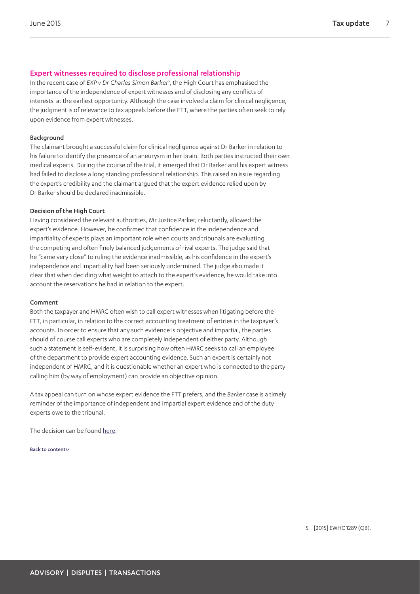# <span id="page-6-0"></span>Expert witnesses required to disclose professional relationship

In the recent case of *EXP v Dr Charles Simon Barke[r5](#page-6-1)* , the High Court has emphasised the importance of the independence of expert witnesses and of disclosing any conflicts of interests at the earliest opportunity. Although the case involved a claim for clinical negligence, the judgment is of relevance to tax appeals before the FTT, where the parties often seek to rely upon evidence from expert witnesses.

## Background

The claimant brought a successful claim for clinical negligence against Dr Barker in relation to his failure to identify the presence of an aneurysm in her brain. Both parties instructed their own medical experts. During the course of the trial, it emerged that Dr Barker and his expert witness had failed to disclose a long standing professional relationship. This raised an issue regarding the expert's credibility and the claimant argued that the expert evidence relied upon by Dr Barker should be declared inadmissible.

## Decision of the High Court

Having considered the relevant authorities, Mr Justice Parker, reluctantly, allowed the expert's evidence. However, he confirmed that confidence in the independence and impartiality of experts plays an important role when courts and tribunals are evaluating the competing and often finely balanced judgements of rival experts. The judge said that he "came very close" to ruling the evidence inadmissible, as his confidence in the expert's independence and impartiality had been seriously undermined. The judge also made it clear that when deciding what weight to attach to the expert's evidence, he would take into account the reservations he had in relation to the expert.

## Comment

Both the taxpayer and HMRC often wish to call expert witnesses when litigating before the FTT, in particular, in relation to the correct accounting treatment of entries in the taxpayer's accounts. In order to ensure that any such evidence is objective and impartial, the parties should of course call experts who are completely independent of either party. Although such a statement is self-evident, it is surprising how often HMRC seeks to call an employee of the department to provide expert accounting evidence. Such an expert is certainly not independent of HMRC, and it is questionable whether an expert who is connected to the party calling him (by way of employment) can provide an objective opinion.

A tax appeal can turn on whose expert evidence the FTT prefers, and the *Barker* case is a timely reminder of the importance of independent and impartial expert evidence and of the duty experts owe to the tribunal.

The decision can be found [here](http://www.bailii.org/ew/cases/EWHC/QB/2015/1289.html).

[Back to contents>](#page-0-0)

<span id="page-6-1"></span>5. [2015] EWHC 1289 (QB).